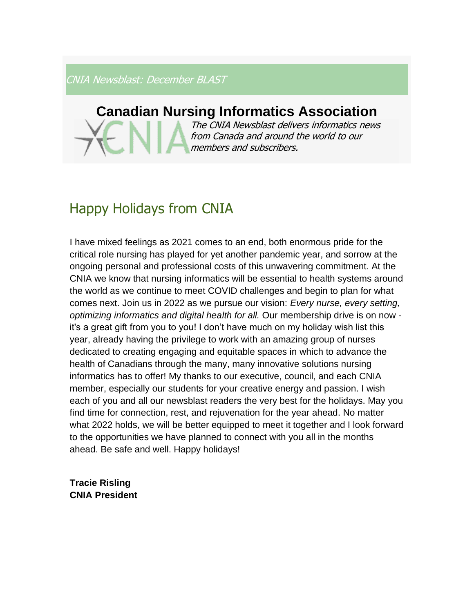CNIA Newsblast: December BLAST

## **Canadian Nursing Informatics Association**

The CNIA Newsblast delivers informatics news from Canada and around the world to our members and subscribers.

# Happy Holidays from CNIA

I have mixed feelings as 2021 comes to an end, both enormous pride for the critical role nursing has played for yet another pandemic year, and sorrow at the ongoing personal and professional costs of this unwavering commitment. At the CNIA we know that nursing informatics will be essential to health systems around the world as we continue to meet COVID challenges and begin to plan for what comes next. Join us in 2022 as we pursue our vision: *Every nurse, every setting, optimizing informatics and digital health for all.* Our membership drive is on now it's a great gift from you to you! I don't have much on my holiday wish list this year, already having the privilege to work with an amazing group of nurses dedicated to creating engaging and equitable spaces in which to advance the health of Canadians through the many, many innovative solutions nursing informatics has to offer! My thanks to our executive, council, and each CNIA member, especially our students for your creative energy and passion. I wish each of you and all our newsblast readers the very best for the holidays. May you find time for connection, rest, and rejuvenation for the year ahead. No matter what 2022 holds, we will be better equipped to meet it together and I look forward to the opportunities we have planned to connect with you all in the months ahead. Be safe and well. Happy holidays!

**Tracie Risling CNIA President**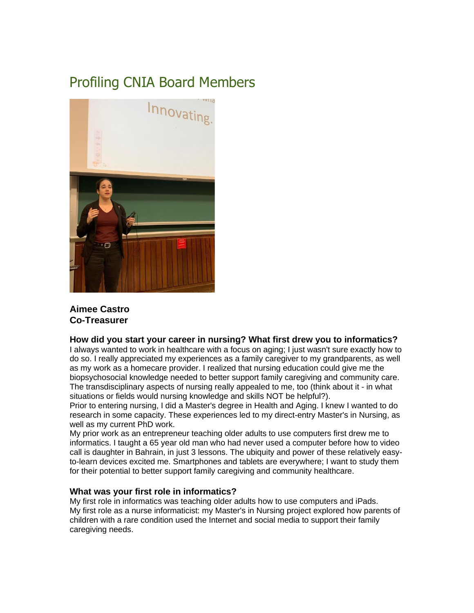## Profiling CNIA Board Members



## **Aimee Castro Co-Treasurer**

#### **How did you start your career in nursing? What first drew you to informatics?**

I always wanted to work in healthcare with a focus on aging; I just wasn't sure exactly how to do so. I really appreciated my experiences as a family caregiver to my grandparents, as well as my work as a homecare provider. I realized that nursing education could give me the biopsychosocial knowledge needed to better support family caregiving and community care. The transdisciplinary aspects of nursing really appealed to me, too (think about it - in what situations or fields would nursing knowledge and skills NOT be helpful?).

Prior to entering nursing, I did a Master's degree in Health and Aging. I knew I wanted to do research in some capacity. These experiences led to my direct-entry Master's in Nursing, as well as my current PhD work.

My prior work as an entrepreneur teaching older adults to use computers first drew me to informatics. I taught a 65 year old man who had never used a computer before how to video call is daughter in Bahrain, in just 3 lessons. The ubiquity and power of these relatively easyto-learn devices excited me. Smartphones and tablets are everywhere; I want to study them for their potential to better support family caregiving and community healthcare.

#### **What was your first role in informatics?**

My first role in informatics was teaching older adults how to use computers and iPads. My first role as a nurse informaticist: my Master's in Nursing project explored how parents of children with a rare condition used the Internet and social media to support their family caregiving needs.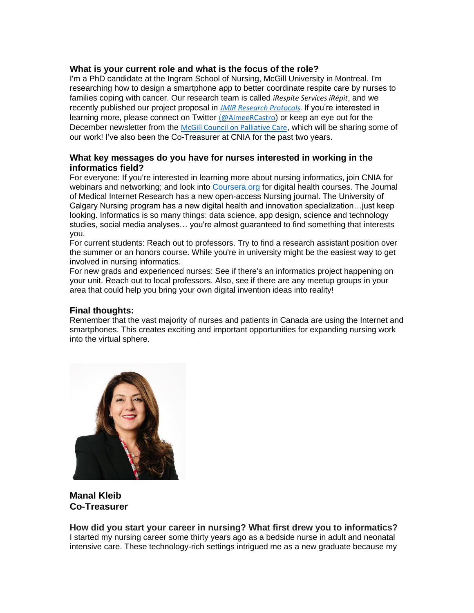### **What is your current role and what is the focus of the role?**

I'm a PhD candidate at the Ingram School of Nursing, McGill University in Montreal. I'm researching how to design a smartphone app to better coordinate respite care by nurses to families coping with cancer. Our research team is called *iRespite Services iRépit*, and we recently published our project proposal in *[JMIR Research Protocols.](https://preprints.jmir.org/preprint/34652/accepted)* If you're interested in learning more, please connect on Twitter [\(@AimeeRCastro](https://twitter.com/AimeeRCastro)) or keep an eye out for the December newsletter from the [McGill Council on Palliative Care](https://www.mcgill.ca/council-on-palliative-care/), which will be sharing some of our work! I've also been the Co-Treasurer at CNIA for the past two years.

## **What key messages do you have for nurses interested in working in the informatics field?**

For everyone: If you're interested in learning more about nursing informatics, join CNIA for webinars and networking; and look into [Coursera.org](http://coursera.org/) for digital health courses. The Journal of Medical Internet Research has a new open-access Nursing journal. The University of Calgary Nursing program has a new digital health and innovation specialization…just keep looking. Informatics is so many things: data science, app design, science and technology studies, social media analyses… you're almost guaranteed to find something that interests you.

For current students: Reach out to professors. Try to find a research assistant position over the summer or an honors course. While you're in university might be the easiest way to get involved in nursing informatics.

For new grads and experienced nurses: See if there's an informatics project happening on your unit. Reach out to local professors. Also, see if there are any meetup groups in your area that could help you bring your own digital invention ideas into reality!

### **Final thoughts:**

Remember that the vast majority of nurses and patients in Canada are using the Internet and smartphones. This creates exciting and important opportunities for expanding nursing work into the virtual sphere.



**Manal Kleib Co-Treasurer**

**How did you start your career in nursing? What first drew you to informatics?** I started my nursing career some thirty years ago as a bedside nurse in adult and neonatal intensive care. These technology-rich settings intrigued me as a new graduate because my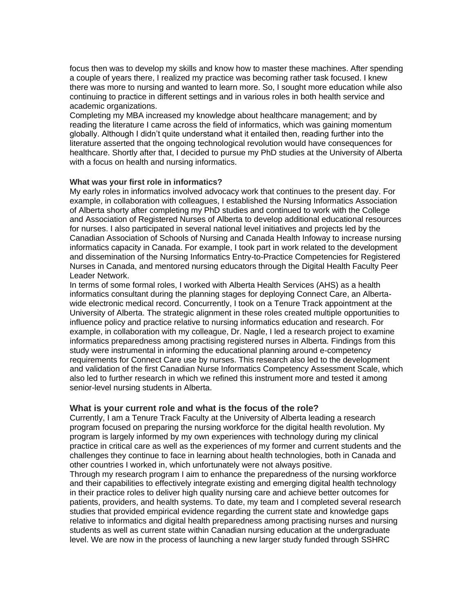focus then was to develop my skills and know how to master these machines. After spending a couple of years there, I realized my practice was becoming rather task focused. I knew there was more to nursing and wanted to learn more. So, I sought more education while also continuing to practice in different settings and in various roles in both health service and academic organizations.

Completing my MBA increased my knowledge about healthcare management; and by reading the literature I came across the field of informatics, which was gaining momentum globally. Although I didn't quite understand what it entailed then, reading further into the literature asserted that the ongoing technological revolution would have consequences for healthcare. Shortly after that, I decided to pursue my PhD studies at the University of Alberta with a focus on health and nursing informatics.

#### **What was your first role in informatics?**

My early roles in informatics involved advocacy work that continues to the present day. For example, in collaboration with colleagues, I established the Nursing Informatics Association of Alberta shorty after completing my PhD studies and continued to work with the College and Association of Registered Nurses of Alberta to develop additional educational resources for nurses. I also participated in several national level initiatives and projects led by the Canadian Association of Schools of Nursing and Canada Health Infoway to increase nursing informatics capacity in Canada. For example, I took part in work related to the development and dissemination of the Nursing Informatics Entry-to-Practice Competencies for Registered Nurses in Canada, and mentored nursing educators through the Digital Health Faculty Peer Leader Network.

In terms of some formal roles, I worked with Alberta Health Services (AHS) as a health informatics consultant during the planning stages for deploying Connect Care, an Albertawide electronic medical record. Concurrently, I took on a Tenure Track appointment at the University of Alberta. The strategic alignment in these roles created multiple opportunities to influence policy and practice relative to nursing informatics education and research. For example, in collaboration with my colleague, Dr. Nagle, I led a research project to examine informatics preparedness among practising registered nurses in Alberta. Findings from this study were instrumental in informing the educational planning around e-competency requirements for Connect Care use by nurses. This research also led to the development and validation of the first Canadian Nurse Informatics Competency Assessment Scale, which also led to further research in which we refined this instrument more and tested it among senior-level nursing students in Alberta.

#### **What is your current role and what is the focus of the role?**

Currently, I am a Tenure Track Faculty at the University of Alberta leading a research program focused on preparing the nursing workforce for the digital health revolution. My program is largely informed by my own experiences with technology during my clinical practice in critical care as well as the experiences of my former and current students and the challenges they continue to face in learning about health technologies, both in Canada and other countries I worked in, which unfortunately were not always positive.

Through my research program I aim to enhance the preparedness of the nursing workforce and their capabilities to effectively integrate existing and emerging digital health technology in their practice roles to deliver high quality nursing care and achieve better outcomes for patients, providers, and health systems. To date, my team and I completed several research studies that provided empirical evidence regarding the current state and knowledge gaps relative to informatics and digital health preparedness among practising nurses and nursing students as well as current state within Canadian nursing education at the undergraduate level. We are now in the process of launching a new larger study funded through SSHRC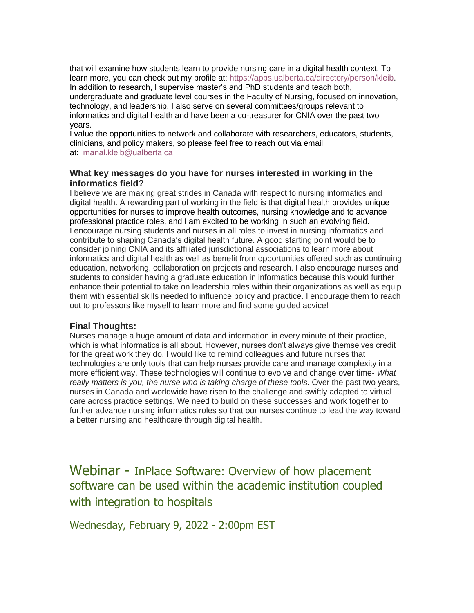that will examine how students learn to provide nursing care in a digital health context. To learn more, you can check out my profile at: [https://apps.ualberta.ca/directory/person/kleib.](https://apps.ualberta.ca/directory/person/kleib) In addition to research, I supervise master's and PhD students and teach both, undergraduate and graduate level courses in the Faculty of Nursing, focused on innovation, technology, and leadership. I also serve on several committees/groups relevant to informatics and digital health and have been a co-treasurer for CNIA over the past two years.

I value the opportunities to network and collaborate with researchers, educators, students, clinicians, and policy makers, so please feel free to reach out via email at: [manal.kleib@ualberta.ca](mailto:manal.kleib@ualberta.ca)

### **What key messages do you have for nurses interested in working in the informatics field?**

I believe we are making great strides in Canada with respect to nursing informatics and digital health. A rewarding part of working in the field is that digital health provides unique opportunities for nurses to improve health outcomes, nursing knowledge and to advance professional practice roles, and I am excited to be working in such an evolving field. I encourage nursing students and nurses in all roles to invest in nursing informatics and contribute to shaping Canada's digital health future. A good starting point would be to consider joining CNIA and its affiliated jurisdictional associations to learn more about informatics and digital health as well as benefit from opportunities offered such as continuing education, networking, collaboration on projects and research. I also encourage nurses and students to consider having a graduate education in informatics because this would further enhance their potential to take on leadership roles within their organizations as well as equip them with essential skills needed to influence policy and practice. I encourage them to reach out to professors like myself to learn more and find some guided advice!

## **Final Thoughts:**

Nurses manage a huge amount of data and information in every minute of their practice, which is what informatics is all about. However, nurses don't always give themselves credit for the great work they do. I would like to remind colleagues and future nurses that technologies are only tools that can help nurses provide care and manage complexity in a more efficient way. These technologies will continue to evolve and change over time- *What really matters is you, the nurse who is taking charge of these tools.* Over the past two years, nurses in Canada and worldwide have risen to the challenge and swiftly adapted to virtual care across practice settings. We need to build on these successes and work together to further advance nursing informatics roles so that our nurses continue to lead the way toward a better nursing and healthcare through digital health.

Webinar - InPlace Software: Overview of how placement software can be used within the academic institution coupled with integration to hospitals

Wednesday, February 9, 2022 - 2:00pm EST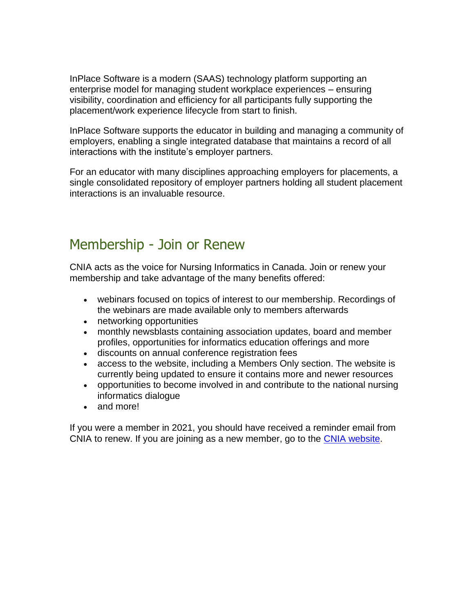InPlace Software is a modern (SAAS) technology platform supporting an enterprise model for managing student workplace experiences – ensuring visibility, coordination and efficiency for all participants fully supporting the placement/work experience lifecycle from start to finish.

InPlace Software supports the educator in building and managing a community of employers, enabling a single integrated database that maintains a record of all interactions with the institute's employer partners.

For an educator with many disciplines approaching employers for placements, a single consolidated repository of employer partners holding all student placement interactions is an invaluable resource.

## Membership - Join or Renew

CNIA acts as the voice for Nursing Informatics in Canada. Join or renew your membership and take advantage of the many benefits offered:

- webinars focused on topics of interest to our membership. Recordings of the webinars are made available only to members afterwards
- networking opportunities
- monthly newsblasts containing association updates, board and member profiles, opportunities for informatics education offerings and more
- discounts on annual conference registration fees
- access to the website, including a Members Only section. The website is currently being updated to ensure it contains more and newer resources
- opportunities to become involved in and contribute to the national nursing informatics dialogue
- and more!

If you were a member in 2021, you should have received a reminder email from CNIA to renew. If you are joining as a new member, go to the [CNIA website.](https://cnia.ca/EmailTracker/LinkTracker.ashx?linkAndRecipientCode=Nc2WR5jHCZIU4zj%2bra8pdCQPB%2bY1CTNAfsiSNLw%2f71uwBiWjHdkZlRw73lSZhMy0aCqP8thkAmvPakeMh6jqJdr6dFDVZJwGHL2ouSXvnkk%3d)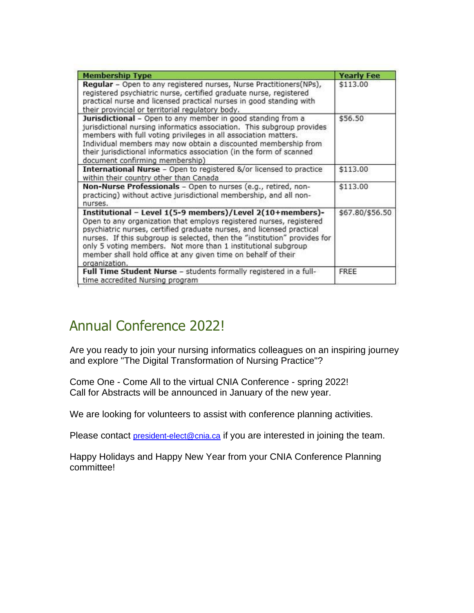| <b>Membership Type</b>                                                                                                                                                                                                                                                                                                                                                                                                                    | <b>Yearly Fee</b> |
|-------------------------------------------------------------------------------------------------------------------------------------------------------------------------------------------------------------------------------------------------------------------------------------------------------------------------------------------------------------------------------------------------------------------------------------------|-------------------|
| Regular - Open to any registered nurses, Nurse Practitioners(NPs),<br>registered psychiatric nurse, certified graduate nurse, registered<br>practical nurse and licensed practical nurses in good standing with<br>their provincial or territorial regulatory body.                                                                                                                                                                       | \$113.00          |
| Jurisdictional - Open to any member in good standing from a<br>jurisdictional nursing informatics association. This subgroup provides<br>members with full voting privileges in all association matters.<br>Individual members may now obtain a discounted membership from<br>their jurisdictional informatics association (in the form of scanned<br>document confirming membership)                                                     | \$56.50           |
| International Nurse - Open to registered &/or licensed to practice<br>within their country other than Canada                                                                                                                                                                                                                                                                                                                              | \$113.00          |
| Non-Nurse Professionals - Open to nurses (e.g., retired, non-<br>practicing) without active jurisdictional membership, and all non-<br>nurses.                                                                                                                                                                                                                                                                                            | \$113.00          |
| Institutional - Level 1(5-9 members)/Level 2(10+members)-<br>Open to any organization that employs registered nurses, registered<br>psychiatric nurses, certified graduate nurses, and licensed practical<br>nurses. If this subgroup is selected, then the "institution" provides for<br>only 5 voting members. Not more than 1 institutional subgroup<br>member shall hold office at any given time on behalf of their<br>organization. | \$67.80/\$56.50   |
| Full Time Student Nurse - students formally registered in a full-<br>time accredited Nursing program                                                                                                                                                                                                                                                                                                                                      | FREE              |

## Annual Conference 2022!

Are you ready to join your nursing informatics colleagues on an inspiring journey and explore "The Digital Transformation of Nursing Practice"?

Come One - Come All to the virtual CNIA Conference - spring 2022! Call for Abstracts will be announced in January of the new year.

We are looking for volunteers to assist with conference planning activities.

Please contact [president-elect@cnia.ca](mailto:president-elect@cnia.ca) if you are interested in joining the team.

Happy Holidays and Happy New Year from your CNIA Conference Planning committee!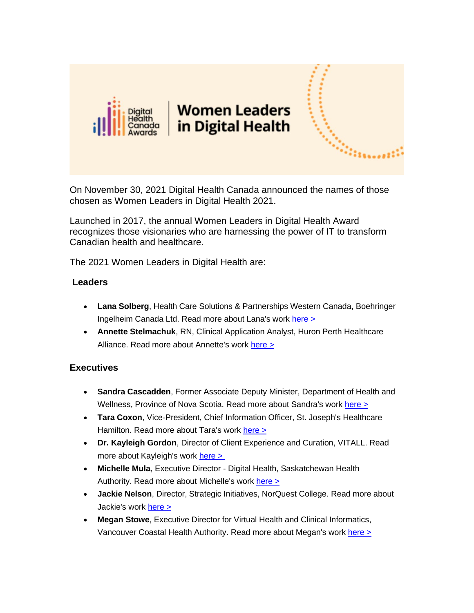

On November 30, 2021 Digital Health Canada announced the names of those chosen as Women Leaders in Digital Health 2021.

Launched in 2017, the annual Women Leaders in Digital Health Award recognizes those visionaries who are harnessing the power of IT to transform Canadian health and healthcare.

The 2021 Women Leaders in Digital Health are:

## **Leaders**

- **Lana Solberg**, Health Care Solutions & Partnerships Western Canada, Boehringer Ingelheim Canada Ltd. Read more about Lana's work [here >](https://www.digitalhealthcanadamembers.com/EmailTracker/LinkTracker.ashx?linkAndRecipientCode=TxJzeMpl%2fzEXcL3mH4wlf%2bBIFhnHqCoEb043Toa%2bmttwJJGq7I6g3IopSkZHmkhVEIUzHTg9hxubDFohPPh6pMIdmp2VCJU4OzYPBTeepYo%3d)
- **Annette Stelmachuk**, RN, Clinical Application Analyst, Huron Perth Healthcare Alliance. Read more about Annette's work [here >](https://www.digitalhealthcanadamembers.com/EmailTracker/LinkTracker.ashx?linkAndRecipientCode=z1YRGhq87QTts04158vo8%2bdnshKiT5g6Bay7jfwoNptSBthNW9IeD2B18ZXOthv2ooFM7KcAe3SCoOJ4iW8RYeaPMYlVlZh3SHqAQCuHhZ0%3d)

## **Executives**

- **Sandra Cascadden**, Former Associate Deputy Minister, Department of Health and Wellness, Province of Nova Scotia. Read more about Sandra's work [here >](https://www.digitalhealthcanadamembers.com/EmailTracker/LinkTracker.ashx?linkAndRecipientCode=%2bL0hyyQumZQ5HJHSoCvj809ZmETeCe1Pifk8u7y9fMVnr1DnVg5ITRXawJ3rvJshmpk8yZlPrsb0DZvzczccOtQEGZcQegwy2OY6DiIKpGY%3d)
- **Tara Coxon**, Vice-President, Chief Information Officer, St. Joseph's Healthcare Hamilton. Read more about Tara's work [here >](https://www.digitalhealthcanadamembers.com/EmailTracker/LinkTracker.ashx?linkAndRecipientCode=xAf9im%2bGAm6kOTprk3FfyOPkZXXkILzqeuvgx043g6Wc%2fQomz3Asn5X9i8a3IWMjS4X%2fPpqJG0Nep19skHh9GWCXQyMgPdcnIuED9lRYgPs%3d)
- **Dr. Kayleigh Gordon**, Director of Client Experience and Curation, VITALL. Read more about Kayleigh's work [here >](https://www.digitalhealthcanadamembers.com/EmailTracker/LinkTracker.ashx?linkAndRecipientCode=jGLA8vys3P%2fZSawFkDvaW6ck8P05dwrYyi03gg0mNj1NaDZ404ydr%2fOE2krCgn8QP%2bHClo%2bd77k1Z%2faYx449s0eBHdKrY3EPzK91xZfJeJE%3d)
- **Michelle Mula**, Executive Director Digital Health, Saskatchewan Health Authority. Read more about Michelle's work [here >](https://www.digitalhealthcanadamembers.com/EmailTracker/LinkTracker.ashx?linkAndRecipientCode=hYKEbonXBvmAlCHOzhzMRpL1vK5gfCwnqXjFYm2iWMpmvppx%2bVQ4dzG2NlGKNyHTZC1XxcUjwG9m2OdqdO7Hk5sP5aBd%2fKCqbZsUzAvzjnA%3d)
- **Jackie Nelson**, Director, Strategic Initiatives, NorQuest College. Read more about Jackie's work [here >](https://www.digitalhealthcanadamembers.com/EmailTracker/LinkTracker.ashx?linkAndRecipientCode=TB5OJEYq5J1ekkLNYGdXuuJXdv1kp%2byWjA04zH0Mtlq%2bZWt%2bPl6Pdk4fsM%2fmGX45XUkpqU0X5jutVlJOtugyTa8QVNr%2fDHLydCo8DB9fYtI%3d)
- **Megan Stowe**, Executive Director for Virtual Health and Clinical Informatics, Vancouver Coastal Health Authority. Read more about Megan's work [here >](https://www.digitalhealthcanadamembers.com/EmailTracker/LinkTracker.ashx?linkAndRecipientCode=sh9VKWguyAhv3D%2bs6cRut9W4Q0XXcubR%2bZY1asIWN%2b79cVxh24ExmaE3Y%2fUouPNHQQ5kpNneMFFVYUjx6Cj6r5frHTFNwd1%2bHvcRys%2b%2bqG8%3d)